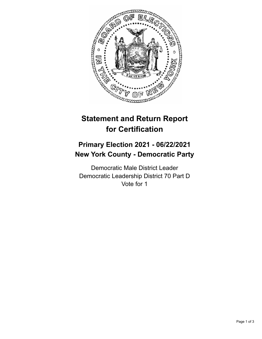

## **Statement and Return Report for Certification**

## **Primary Election 2021 - 06/22/2021 New York County - Democratic Party**

Democratic Male District Leader Democratic Leadership District 70 Part D Vote for 1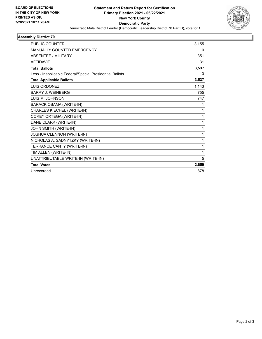

## **Assembly District 70**

| <b>PUBLIC COUNTER</b>                                    | 3,155 |
|----------------------------------------------------------|-------|
| MANUALLY COUNTED EMERGENCY                               | 0     |
| <b>ABSENTEE / MILITARY</b>                               | 351   |
| <b>AFFIDAVIT</b>                                         | 31    |
| <b>Total Ballots</b>                                     | 3,537 |
| Less - Inapplicable Federal/Special Presidential Ballots | 0     |
| <b>Total Applicable Ballots</b>                          | 3,537 |
| <b>LUIS ORDONEZ</b>                                      | 1,143 |
| <b>BARRY J. WEINBERG</b>                                 | 755   |
| LUIS M. JOHNSON                                          | 747   |
| <b>BARACK OBAMA (WRITE-IN)</b>                           | 1     |
| CHARLES KIECHEL (WRITE-IN)                               | 1     |
| COREY ORTEGA (WRITE-IN)                                  | 1     |
| DANE CLARK (WRITE-IN)                                    | 1     |
| JOHN SMITH (WRITE-IN)                                    | 1     |
| JOSHUA CLENNON (WRITE-IN)                                | 1     |
| NICHOLAS A. SADNYTZKY (WRITE-IN)                         | 1     |
| TERRANCE CANTY (WRITE-IN)                                | 1     |
| TIM ALLEN (WRITE-IN)                                     | 1     |
| UNATTRIBUTABLE WRITE-IN (WRITE-IN)                       | 5     |
| <b>Total Votes</b>                                       | 2,659 |
| Unrecorded                                               | 878   |